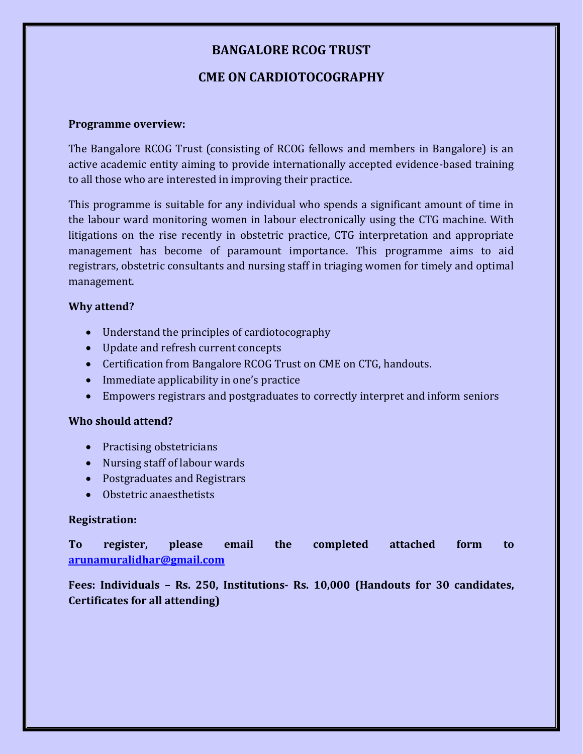### **BANGALORE RCOG TRUST**

### **CME ON CARDIOTOCOGRAPHY**

#### **Programme overview:**

The Bangalore RCOG Trust (consisting of RCOG fellows and members in Bangalore) is an active academic entity aiming to provide internationally accepted evidence-based training to all those who are interested in improving their practice.

This programme is suitable for any individual who spends a significant amount of time in the labour ward monitoring women in labour electronically using the CTG machine. With litigations on the rise recently in obstetric practice, CTG interpretation and appropriate management has become of paramount importance. This programme aims to aid registrars, obstetric consultants and nursing staff in triaging women for timely and optimal management.

### **Why attend?**

- Understand the principles of cardiotocography
- Update and refresh current concepts
- Certification from Bangalore RCOG Trust on CME on CTG, handouts.
- Immediate applicability in one's practice
- Empowers registrars and postgraduates to correctly interpret and inform seniors

#### **Who should attend?**

- Practising obstetricians
- Nursing staff of labour wards
- Postgraduates and Registrars
- Obstetric anaesthetists

#### **Registration:**

**To register, please email the completed attached form to [arunamuralidhar@gmail.com](mailto:arunamuralidhar@gmail.com)**

**Fees: Individuals – Rs. 250, Institutions- Rs. 10,000 (Handouts for 30 candidates, Certificates for all attending)**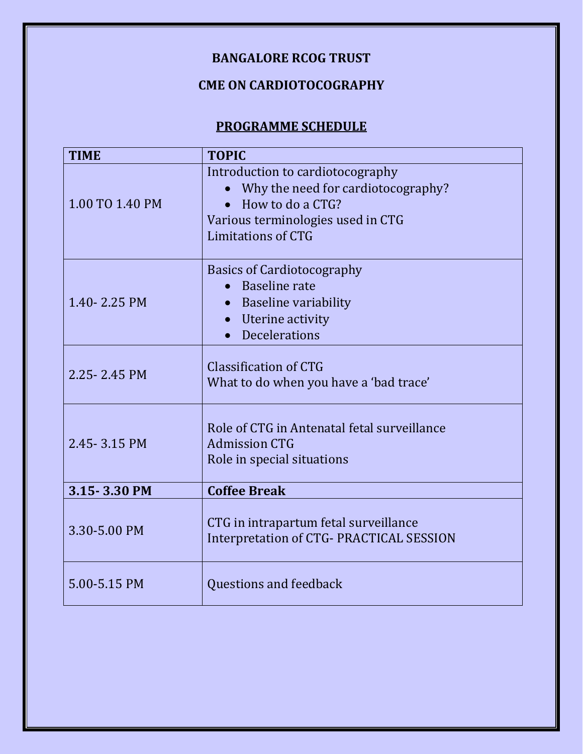# **BANGALORE RCOG TRUST**

# **CME ON CARDIOTOCOGRAPHY**

## **PROGRAMME SCHEDULE**

| <b>TIME</b>     | <b>TOPIC</b>                                                                                                                                          |
|-----------------|-------------------------------------------------------------------------------------------------------------------------------------------------------|
| 1.00 TO 1.40 PM | Introduction to cardiotocography<br>Why the need for cardiotocography?<br>How to do a CTG?<br>Various terminologies used in CTG<br>Limitations of CTG |
| 1.40 - 2.25 PM  | <b>Basics of Cardiotocography</b><br>• Baseline rate<br>Baseline variability<br>Uterine activity<br><b>Decelerations</b>                              |
| 2.25 - 2.45 PM  | Classification of CTG<br>What to do when you have a 'bad trace'                                                                                       |
| 2.45 - 3.15 PM  | Role of CTG in Antenatal fetal surveillance<br><b>Admission CTG</b><br>Role in special situations                                                     |
| 3.15 - 3.30 PM  | <b>Coffee Break</b>                                                                                                                                   |
| 3.30-5.00 PM    | CTG in intrapartum fetal surveillance<br><b>Interpretation of CTG- PRACTICAL SESSION</b>                                                              |
| 5.00-5.15 PM    | Questions and feedback                                                                                                                                |